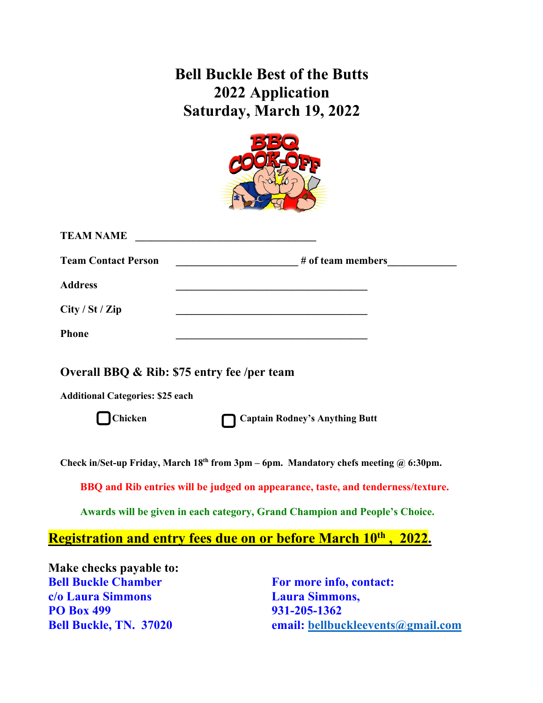## **Bell Buckle Best of the Butts 2022 Application Saturday, March 19, 2022**



| <b>TEAM NAME</b>                                                                                                                                  | <u> 1980 - Johann Barbara, martxa alemaniar arg</u>                                                                                                            |
|---------------------------------------------------------------------------------------------------------------------------------------------------|----------------------------------------------------------------------------------------------------------------------------------------------------------------|
| <b>Team Contact Person</b>                                                                                                                        | $\frac{1}{2}$ # of team members                                                                                                                                |
| <b>Address</b>                                                                                                                                    | <u> 1989 - Johann Stoff, deutscher Stoffen und der Stoffen und der Stoffen und der Stoffen und der Stoffen und der</u>                                         |
| City / St / Zip                                                                                                                                   |                                                                                                                                                                |
| <b>Phone</b>                                                                                                                                      |                                                                                                                                                                |
| Overall BBQ & Rib: \$75 entry fee /per team<br><b>Additional Categories: \$25 each</b><br><b>Chicken</b><br><b>Captain Rodney's Anything Butt</b> |                                                                                                                                                                |
|                                                                                                                                                   | Check in/Set-up Friday, March $18th$ from 3pm – 6pm. Mandatory chefs meeting @ 6:30pm.                                                                         |
|                                                                                                                                                   | BBQ and Rib entries will be judged on appearance, taste, and tenderness/texture.<br>Awards will be given in each category, Grand Champion and People's Choice. |
|                                                                                                                                                   | Registration and entry fees due on or before March 10 <sup>th</sup> , 2022.                                                                                    |
| Make checks payable to:                                                                                                                           |                                                                                                                                                                |
| <b>Bell Buckle Chamber</b>                                                                                                                        | For more info, contact:                                                                                                                                        |
| c/o Laura Simmons                                                                                                                                 | <b>Laura Simmons,</b>                                                                                                                                          |
| <b>PO Box 499</b>                                                                                                                                 | 931-205-1362                                                                                                                                                   |

**Bell Buckle, TN. 37020 email: bellbuckleevents@gmail.com**